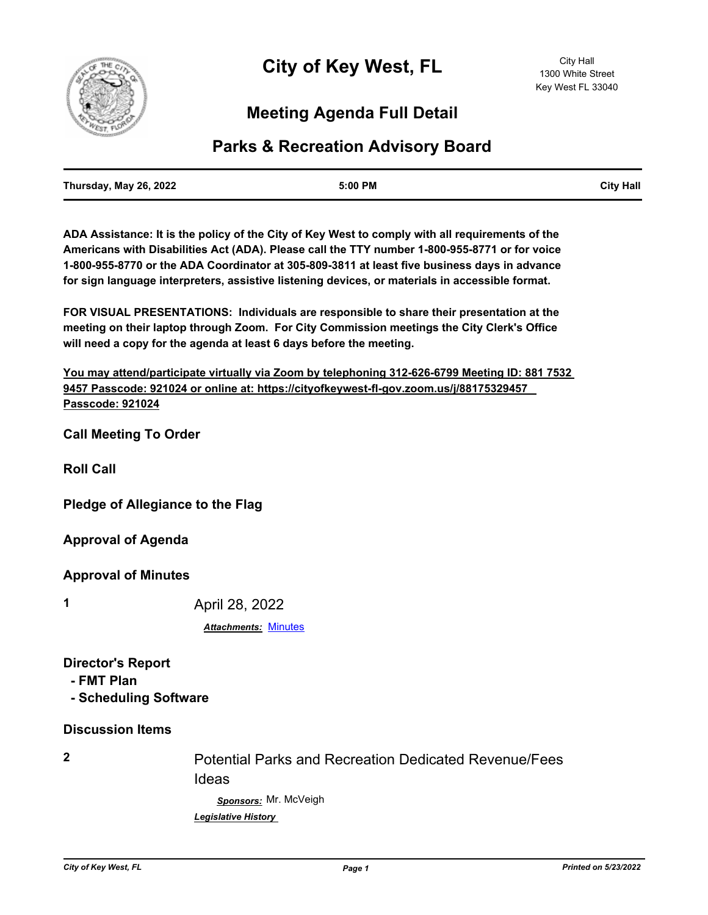

## **Meeting Agenda Full Detail**

### **Parks & Recreation Advisory Board**

| Thursday, May 26, 2022 | 5:00 PM | <b>City Hall</b> |
|------------------------|---------|------------------|
|                        |         |                  |

**ADA Assistance: It is the policy of the City of Key West to comply with all requirements of the Americans with Disabilities Act (ADA). Please call the TTY number 1-800-955-8771 or for voice 1-800-955-8770 or the ADA Coordinator at 305-809-3811 at least five business days in advance for sign language interpreters, assistive listening devices, or materials in accessible format.**

**FOR VISUAL PRESENTATIONS: Individuals are responsible to share their presentation at the meeting on their laptop through Zoom. For City Commission meetings the City Clerk's Office will need a copy for the agenda at least 6 days before the meeting.**

**You may attend/participate virtually via Zoom by telephoning 312-626-6799 Meeting ID: 881 7532 9457 Passcode: 921024 or online at: https://cityofkeywest-fl-gov.zoom.us/j/88175329457 Passcode: 921024**

**Call Meeting To Order**

**Roll Call**

**Pledge of Allegiance to the Flag**

**Approval of Agenda**

**Approval of Minutes**

**1** April 28, 2022

*Attachments:* [Minutes](http://KeyWest.legistar.com/gateway.aspx?M=F&ID=1d1775ba-eb78-44e4-93c4-17c08340d29c.pdf)

**Director's Report**

 **- FMT Plan**

 **- Scheduling Software**

#### **Discussion Items**

**2** Potential Parks and Recreation Dedicated Revenue/Fees Ideas

> *Sponsors:* Mr. McVeigh *Legislative History*